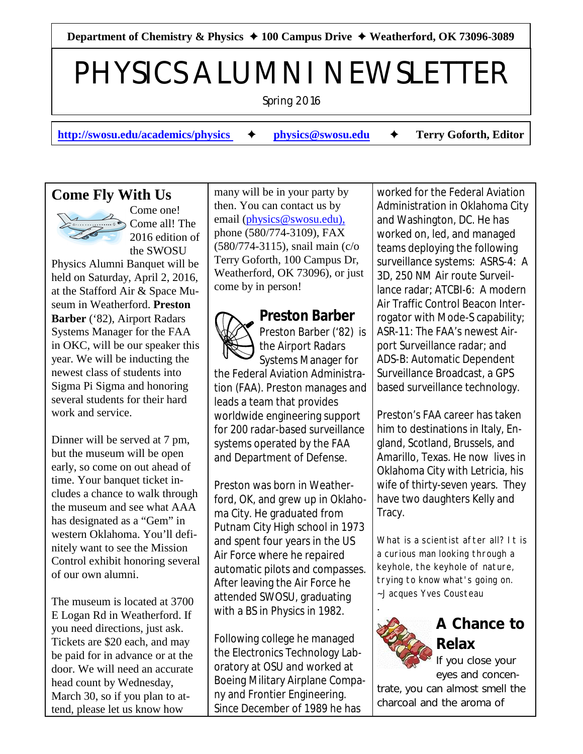Department of Chemistry & Physics **→ 100 Campus Drive → Weatherford, OK 73096-3089** 

# PHYSICS ALUMNI NEWSLETTER

Spring 2016

**[http://swosu.edu/academics/physics](http://swosu.edu/academics/physics%20)**  $\rightarrow$  **[physics@swosu.edu](mailto:physics@swosu.edu)**  $\rightarrow$  Terry Goforth, Editor

## **Come Fly With Us**



Come one! Come all! The 2016 edition of the SWOSU

Physics Alumni Banquet will be held on Saturday, April 2, 2016, at the Stafford Air & Space Museum in Weatherford. **Preston Barber** ('82), Airport Radars Systems Manager for the FAA in OKC, will be our speaker this year. We will be inducting the newest class of students into Sigma Pi Sigma and honoring several students for their hard work and service.

Dinner will be served at 7 pm, but the museum will be open early, so come on out ahead of time. Your banquet ticket includes a chance to walk through the museum and see what AAA has designated as a "Gem" in western Oklahoma. You'll definitely want to see the Mission Control exhibit honoring several of our own alumni.

The museum is located at 3700 E Logan Rd in Weatherford. If you need directions, just ask. Tickets are \$20 each, and may be paid for in advance or at the door. We will need an accurate head count by Wednesday, March 30, so if you plan to attend, please let us know how

many will be in your party by then. You can contact us by email [\(physics@swosu.edu\),](mailto:physics@swosu.edu),) phone (580/774-3109), FAX (580/774-3115), snail main (c/o Terry Goforth, 100 Campus Dr, Weatherford, OK 73096), or just come by in person!



**Preston Barber** Preston Barber ('82) is the Airport Radars Systems Manager for

the Federal Aviation Administration (FAA). Preston manages and leads a team that provides worldwide engineering support for 200 radar-based surveillance systems operated by the FAA and Department of Defense.

Preston was born in Weatherford, OK, and grew up in Oklahoma City. He graduated from Putnam City High school in 1973 and spent four years in the US Air Force where he repaired automatic pilots and compasses. After leaving the Air Force he attended SWOSU, graduating with a BS in Physics in 1982.

Following college he managed the Electronics Technology Laboratory at OSU and worked at Boeing Military Airplane Company and Frontier Engineering. Since December of 1989 he has

worked for the Federal Aviation Administration in Oklahoma City and Washington, DC. He has worked on, led, and managed teams deploying the following surveillance systems: ASRS-4: A 3D, 250 NM Air route Surveillance radar; ATCBI-6: A modern Air Traffic Control Beacon Interrogator with Mode-S capability; ASR-11: The FAA's newest Airport Surveillance radar; and ADS-B: Automatic Dependent Surveillance Broadcast, a GPS based surveillance technology.

Preston's FAA career has taken him to destinations in Italy, England, Scotland, Brussels, and Amarillo, Texas. He now lives in Oklahoma City with Letricia, his wife of thirty-seven years. They have two daughters Kelly and Tracy.

What is a scientist after all? It is a curious man looking through a keyhole, the keyhole of nature, trying to know what's going on. ~Jacques Yves Cousteau



## **A Chance to Relax**

If you close your eyes and concen-

trate, you can almost smell the charcoal and the aroma of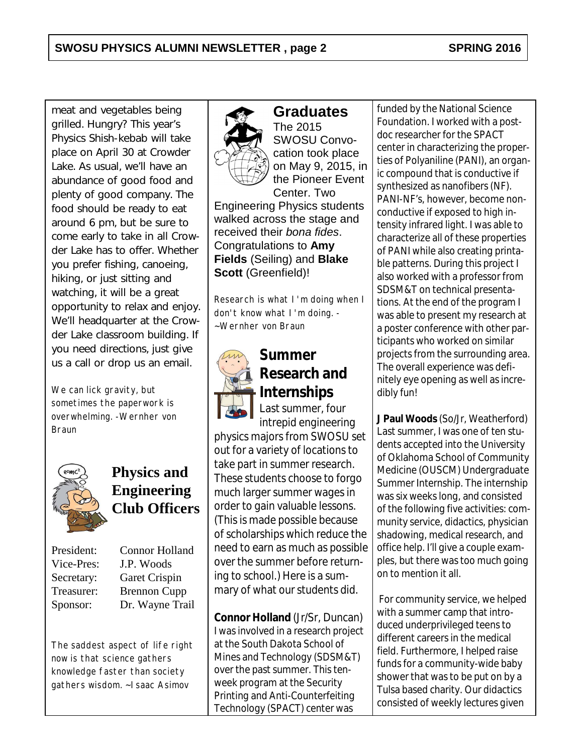meat and vegetables being grilled. Hungry? This year's Physics Shish-kebab will take place on April 30 at Crowder Lake. As usual, we'll have an abundance of good food and plenty of good company. The food should be ready to eat around 6 pm, but be sure to come early to take in all Crowder Lake has to offer. Whether you prefer fishing, canoeing, hiking, or just sitting and watching, it will be a great opportunity to relax and enjoy. We'll headquarter at the Crowder Lake classroom building. If you need directions, just give us a call or drop us an email.

We can lick gravity, but sometimes the paperwork is overwhelming. -Wernher von Braun



## **Physics and Engineering Club Officers**

President: Connor Holland Vice-Pres: J.P. Woods Secretary: Garet Crispin Treasurer: Brennon Cupp Sponsor: Dr. Wayne Trail

The saddest aspect of life right now is that science gathers knowledge faster than society gathers wisdom. ~Isaac Asimov



# **Graduates**

The 2015 SWOSU Convocation took place on May 9, 2015, in the Pioneer Event Center. Two Engineering Physics students walked across the stage and received their *bona fides*. Congratulations to **Amy Fields** (Seiling) and **Blake Scott** (Greenfield)!

Research is what I'm doing when I don't know what I'm doing. - ~Wernher von Braun



#### **Summer Research and Internships** Last summer, four

intrepid engineering physics majors from SWOSU set out for a variety of locations to take part in summer research. These students choose to forgo much larger summer wages in order to gain valuable lessons. (This is made possible because of scholarships which reduce the need to earn as much as possible over the summer before returning to school.) Here is a summary of what our students did.

**Connor Holland** (Jr/Sr, Duncan) I was involved in a research project at the South Dakota School of Mines and Technology (SDSM&T) over the past summer. This tenweek program at the Security Printing and Anti-Counterfeiting Technology (SPACT) center was

funded by the National Science Foundation. I worked with a postdoc researcher for the SPACT center in characterizing the properties of Polyaniline (PANI), an organic compound that is conductive if synthesized as nanofibers (NF). PANI-NF's, however, become nonconductive if exposed to high intensity infrared light. I was able to characterize all of these properties of PANI while also creating printable patterns. During this project I also worked with a professor from SDSM&T on technical presentations. At the end of the program I was able to present my research at a poster conference with other participants who worked on similar projects from the surrounding area. The overall experience was definitely eye opening as well as incredibly fun!

**J Paul Woods** (So/Jr, Weatherford) Last summer, I was one of ten students accepted into the University of Oklahoma School of Community Medicine (OUSCM) Undergraduate Summer Internship. The internship was six weeks long, and consisted of the following five activities: community service, didactics, physician shadowing, medical research, and office help. I'll give a couple examples, but there was too much going on to mention it all.

 For community service, we helped with a summer camp that introduced underprivileged teens to different careers in the medical field. Furthermore, I helped raise funds for a community-wide baby shower that was to be put on by a Tulsa based charity. Our didactics consisted of weekly lectures given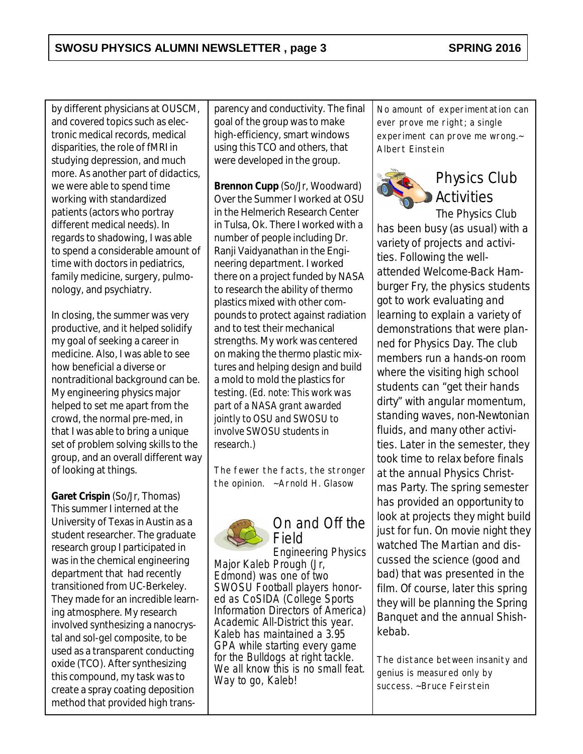by different physicians at OUSCM, and covered topics such as electronic medical records, medical disparities, the role of fMRI in studying depression, and much more. As another part of didactics, we were able to spend time working with standardized patients (actors who portray different medical needs). In regards to shadowing, I was able to spend a considerable amount of time with doctors in pediatrics, family medicine, surgery, pulmonology, and psychiatry.

In closing, the summer was very productive, and it helped solidify my goal of seeking a career in medicine. Also, I was able to see how beneficial a diverse or nontraditional background can be. My engineering physics major helped to set me apart from the crowd, the normal pre-med, in that I was able to bring a unique set of problem solving skills to the group, and an overall different way of looking at things.

**Garet Crispin** (So/Jr, Thomas) This summer I interned at the University of Texas in Austin as a student researcher. The graduate research group I participated in was in the chemical engineering department that had recently transitioned from UC-Berkeley. They made for an incredible learning atmosphere. My research involved synthesizing a nanocrystal and sol-gel composite, to be used as a transparent conducting oxide (TCO). After synthesizing this compound, my task was to create a spray coating deposition method that provided high trans-

parency and conductivity. The final goal of the group was to make high-efficiency, smart windows using this TCO and others, that were developed in the group.

**Brennon Cupp** (So/Jr, Woodward) Over the Summer I worked at OSU in the Helmerich Research Center in Tulsa, Ok. There I worked with a number of people including Dr. Ranji Vaidyanathan in the Engineering department. I worked there on a project funded by NASA to research the ability of thermo plastics mixed with other compounds to protect against radiation and to test their mechanical strengths. My work was centered on making the thermo plastic mixtures and helping design and build a mold to mold the plastics for testing. *(Ed. note: This work was part of a NASA grant awarded jointly to OSU and SWOSU to involve SWOSU students in research.)*

The fewer the facts, the stronger the opinion. ~Arnold H. Glasow



On and Off the Field

Engineering Physics Major Kaleb Prough (Jr, Edmond) was one of two SWOSU Football players honored as CoSIDA (College Sports Information Directors of America) Academic All-District this year. Kaleb has maintained a 3.95 GPA while starting every game for the Bulldogs at right tackle. We all know this is no small feat. Way to go, Kaleb!

No amount of experimentation can ever prove me right; a single experiment can prove me wrong.~ Albert Einstein



## Physics Club Activities The Physics Club

has been busy (as usual) with a variety of projects and activities. Following the wellattended Welcome-Back Hamburger Fry, the physics students got to work evaluating and learning to explain a variety of demonstrations that were planned for Physics Day. The club members run a hands-on room where the visiting high school students can "get their hands dirty" with angular momentum, standing waves, non-Newtonian fluids, and many other activities. Later in the semester, they took time to relax before finals at the annual Physics Christmas Party. The spring semester has provided an opportunity to look at projects they might build just for fun. On movie night they watched *The Martian* and discussed the science (good and bad) that was presented in the film. Of course, later this spring they will be planning the Spring Banquet and the annual Shishkebab.

The distance between insanity and genius is measured only by success. ~Bruce Feirstein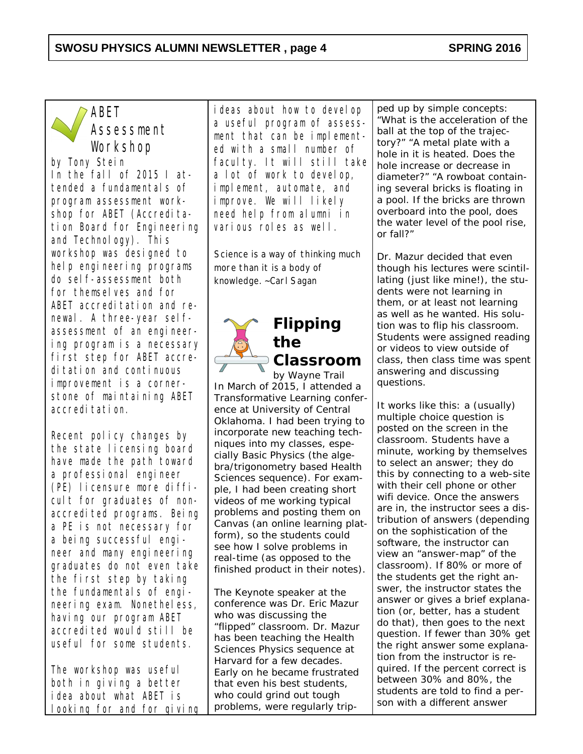#### **SWOSU PHYSICS ALUMNI NEWSLETTER , page 4 SPRING 2016**



## ABET Assessment Workshop

*by Tony Stein* In the fall of 2015 I attended a fundamentals of program assessment workshop for ABET (Accreditation Board for Engineering and Technology). This workshop was designed to help engineering programs do self-assessment both for themselves and for ABET accreditation and renewal. A three-year selfassessment of an engineering program is a necessary first step for ABET accreditation and continuous improvement is a cornerstone of maintaining ABET accreditation.

Recent policy changes by the state licensing board have made the path toward a professional engineer (PE) licensure more difficult for graduates of nonaccredited programs. Being a PE is not necessary for a being successful engineer and many engineering graduates do not even take the first step by taking the fundamentals of engineering exam. Nonetheless, having our program ABET accredited would still be useful for some students.

The workshop was useful both in giving a better idea about what ABET is looking for and for giving

ideas about how to develop a useful program of assessment that can be implemented with a small number of faculty. It will still take a lot of work to develop, implement, automate, and improve. We will likely need help from alumni in various roles as well.

Science is a way of thinking much more than it is a body of knowledge. ~Carl Sagan



# **Flipping the**

**Classroom**

*by Wayne Trail* In March of 2015, I attended a Transformative Learning conference at University of Central Oklahoma. I had been trying to incorporate new teaching techniques into my classes, especially Basic Physics (the algebra/trigonometry based Health Sciences sequence). For example, I had been creating short videos of me working typical problems and posting them on Canvas (an online learning platform), so the students could see how I solve problems in real-time (as opposed to the finished product in their notes).

The Keynote speaker at the conference was Dr. Eric Mazur who was discussing the "flipped" classroom. Dr. Mazur has been teaching the Health Sciences Physics sequence at Harvard for a few decades. Early on he became frustrated that even his best students, who could grind out tough problems, were regularly tripped up by simple concepts: "What is the acceleration of the ball at the top of the trajectory?" "A metal plate with a hole in it is heated. Does the hole increase or decrease in diameter?" "A rowboat containing several bricks is floating in a pool. If the bricks are thrown overboard into the pool, does the water level of the pool rise, or fall?"

Dr. Mazur decided that even though his lectures were scintillating (just like mine!), the students were not learning in them, or at least not learning as well as he wanted. His solution was to flip his classroom. Students were assigned reading or videos to view outside of class, then class time was spent answering and discussing questions.

It works like this: a (usually) multiple choice question is posted on the screen in the classroom. Students have a minute, working by themselves to select an answer; they do this by connecting to a web-site with their cell phone or other wifi device. Once the answers are in, the instructor sees a distribution of answers (depending on the sophistication of the software, the instructor can view an "answer-map" of the classroom). If 80% or more of the students get the right answer, the instructor states the answer or gives a brief explanation (or, better, has a student do that), then goes to the next question. If fewer than 30% get the right answer some explanation from the instructor is required. If the percent correct is between 30% and 80%, the students are told to find a person with a different answer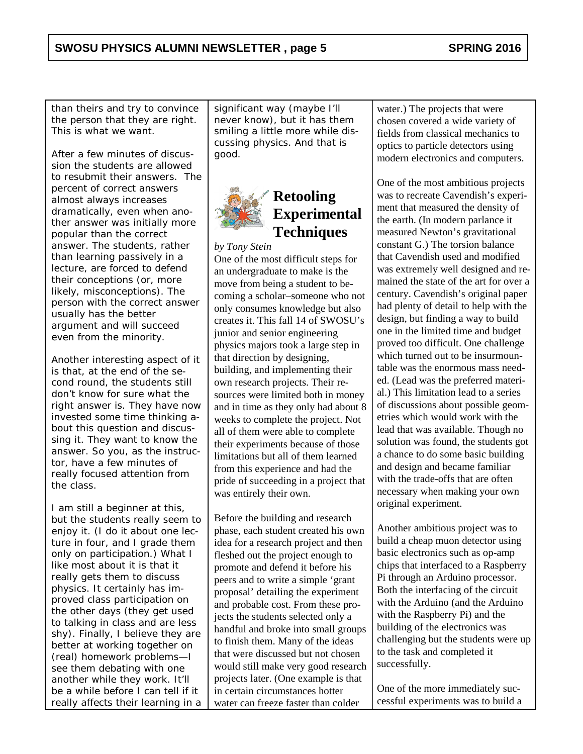than theirs and try to convince the person that they are right. This is what we want.

After a few minutes of discussion the students are allowed to resubmit their answers. The percent of correct answers almost always increases dramatically, even when another answer was initially more popular than the correct answer. The students, rather than learning passively in a lecture, are forced to defend their conceptions (or, more likely, misconceptions). The person with the correct answer usually has the better argument and will succeed even from the minority.

Another interesting aspect of it is that, at the end of the second round, the students still don't know *for sure* what the right answer is. They have now invested some time thinking about this question and discussing it. They *want* to know the answer. So you, as the instructor, have a few minutes of really focused attention from the class.

I am still a beginner at this, but the students really seem to enjoy it. (I do it about one lecture in four, and I grade them only on participation.) What I like most about it is that it really gets them to discuss physics. It certainly has improved class participation on the other days (they get used to talking in class and are less shy). Finally, I believe they are better at working together on (real) homework problems—I see them debating with one another while they work. It'll be a while before I can tell if it really affects their learning in a significant way (maybe I'll never know), but it has them smiling a little more while discussing physics. And that is good.



## **Retooling Experimental Techniques**

*by Tony Stein* One of the most difficult steps for an undergraduate to make is the move from being a student to becoming a scholar–someone who not only consumes knowledge but also creates it. This fall 14 of SWOSU's junior and senior engineering physics majors took a large step in that direction by designing, building, and implementing their own research projects. Their resources were limited both in money and in time as they only had about 8 weeks to complete the project. Not all of them were able to complete their experiments because of those limitations but all of them learned from this experience and had the pride of succeeding in a project that was entirely their own.

Before the building and research phase, each student created his own idea for a research project and then fleshed out the project enough to promote and defend it before his peers and to write a simple 'grant proposal' detailing the experiment and probable cost. From these projects the students selected only a handful and broke into small groups to finish them. Many of the ideas that were discussed but not chosen would still make very good research projects later. (One example is that in certain circumstances hotter water can freeze faster than colder

water.) The projects that were chosen covered a wide variety of fields from classical mechanics to optics to particle detectors using modern electronics and computers.

One of the most ambitious projects was to recreate Cavendish's experiment that measured the density of the earth. (In modern parlance it measured Newton's gravitational constant G.) The torsion balance that Cavendish used and modified was extremely well designed and remained the state of the art for over a century. Cavendish's original paper had plenty of detail to help with the design, but finding a way to build one in the limited time and budget proved too difficult. One challenge which turned out to be insurmountable was the enormous mass needed. (Lead was the preferred material.) This limitation lead to a series of discussions about possible geometries which would work with the lead that was available. Though no solution was found, the students got a chance to do some basic building and design and became familiar with the trade-offs that are often necessary when making your own original experiment.

Another ambitious project was to build a cheap muon detector using basic electronics such as op-amp chips that interfaced to a Raspberry Pi through an Arduino processor. Both the interfacing of the circuit with the Arduino (and the Arduino with the Raspberry Pi) and the building of the electronics was challenging but the students were up to the task and completed it successfully.

One of the more immediately successful experiments was to build a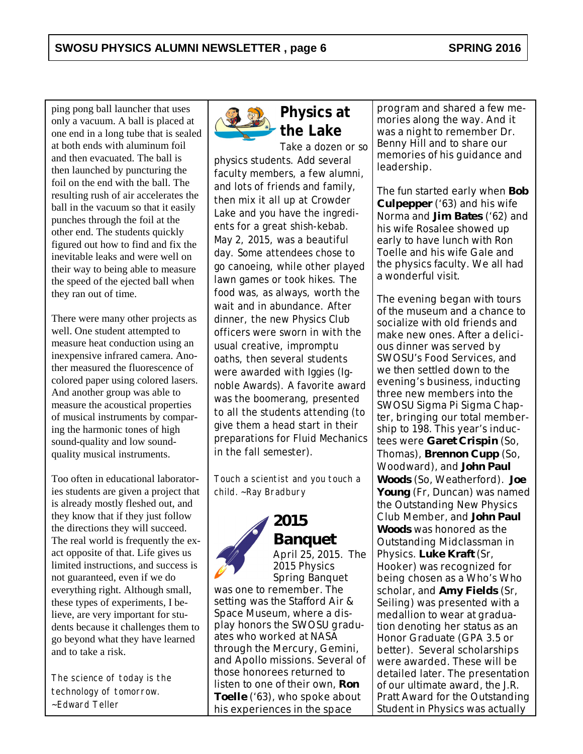ping pong ball launcher that uses only a vacuum. A ball is placed at one end in a long tube that is sealed at both ends with aluminum foil and then evacuated. The ball is then launched by puncturing the foil on the end with the ball. The resulting rush of air accelerates the ball in the vacuum so that it easily punches through the foil at the other end. The students quickly figured out how to find and fix the inevitable leaks and were well on their way to being able to measure the speed of the ejected ball when they ran out of time.

There were many other projects as well. One student attempted to measure heat conduction using an inexpensive infrared camera. Another measured the fluorescence of colored paper using colored lasers. And another group was able to measure the acoustical properties of musical instruments by comparing the harmonic tones of high sound-quality and low soundquality musical instruments.

Too often in educational laboratories students are given a project that is already mostly fleshed out, and they know that if they just follow the directions they will succeed. The real world is frequently the exact opposite of that. Life gives us limited instructions, and success is not guaranteed, even if we do everything right. Although small, these types of experiments, I believe, are very important for students because it challenges them to go beyond what they have learned and to take a risk.

The science of today is the technology of tomorrow. ~Edward Teller



**Physics at the Lake**

Take a dozen or so physics students. Add several faculty members, a few alumni, and lots of friends and family, then mix it all up at Crowder Lake and you have the ingredients for a great shish-kebab. May 2, 2015, was a beautiful day. Some attendees chose to go canoeing, while other played lawn games or took hikes. The food was, as always, worth the wait and in abundance. After dinner, the new Physics Club officers were sworn in with the usual creative, impromptu oaths, then several students were awarded with Iggies (Ignoble Awards). A favorite award was the boomerang, presented to all the students attending (to give them a head start in their preparations for Fluid Mechanics in the fall semester).

Touch a scientist and you touch a child. ~Ray Bradbury



**2015 Banquet** April 25, 2015. The 2015 Physics Spring Banquet

was one to remember. The setting was the Stafford Air & Space Museum, where a display honors the SWOSU graduates who worked at NASA through the Mercury, Gemini, and Apollo missions. Several of those honorees returned to listen to one of their own, **Ron Toelle** ('63), who spoke about his experiences in the space

program and shared a few memories along the way. And it was a night to remember Dr. Benny Hill and to share our memories of his guidance and leadership.

The fun started early when **Bob Culpepper** ('63) and his wife Norma and **Jim Bates** ('62) and his wife Rosalee showed up early to have lunch with Ron Toelle and his wife Gale and the physics faculty. We all had a wonderful visit.

The evening began with tours of the museum and a chance to socialize with old friends and make new ones. After a delicious dinner was served by SWOSU's Food Services, and we then settled down to the evening's business, inducting three new members into the SWOSU Sigma Pi Sigma Chapter, bringing our total membership to 198. This year's inductees were **Garet Crispin** (So, Thomas), **Brennon Cupp** (So, Woodward), and **John Paul Woods** (So, Weatherford). **Joe Young** (Fr, Duncan) was named the Outstanding New Physics Club Member, and **John Paul Woods** was honored as the Outstanding Midclassman in Physics. **Luke Kraft** (Sr, Hooker) was recognized for being chosen as a Who's Who scholar, and **Amy Fields** (Sr, Seiling) was presented with a medallion to wear at graduation denoting her status as an Honor Graduate (GPA 3.5 or better). Several scholarships were awarded. These will be detailed later. The presentation of our ultimate award, the J.R. Pratt Award for the Outstanding Student in Physics was actually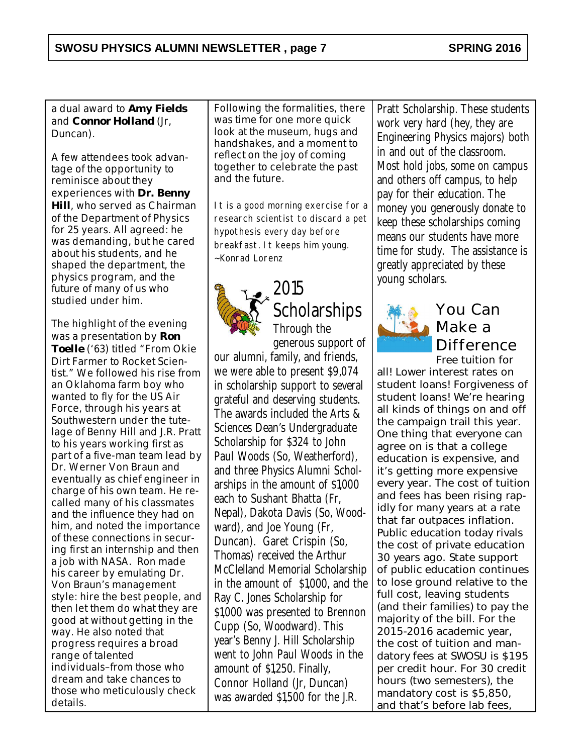a dual award to **Amy Fields** and **Connor Holland** (Jr, Duncan).

A few attendees took advantage of the opportunity to reminisce about they experiences with **Dr. Benny Hill**, who served as Chairman of the Department of Physics for 25 years. All agreed: he was demanding, but he cared about his students, and he shaped the department, the physics program, and the future of many of us who studied under him.

The highlight of the evening was a presentation by **Ron Toelle** ('63) titled "From Okie Dirt Farmer to Rocket Scientist." We followed his rise from an Oklahoma farm boy who wanted to fly for the US Air Force, through his years at Southwestern under the tutelage of Benny Hill and J.R. Pratt to his years working first as part of a five-man team lead by Dr. Werner Von Braun and eventually as chief engineer in charge of his own team. He recalled many of his classmates and the influence they had on him, and noted the importance of these connections in securing first an internship and then a job with NASA. Ron made his career by emulating Dr. Von Braun's management style: hire the best people, and then let them do what they are good at without getting in the way. He also noted that progress requires a broad range of talented individuals–from those who dream and take chances to those who meticulously check details.

Following the formalities, there was time for one more quick look at the museum, hugs and handshakes, and a moment to reflect on the joy of coming together to celebrate the past and the future.

It is a good morning exercise for a research scientist to discard a pet hypothesis every day before breakfast. It keeps him young. ~Konrad Lorenz



## 2015 **Scholarships** Through the generous support of

our alumni, family, and friends, we were able to present \$9,074 in scholarship support to several grateful and deserving students. The awards included the Arts & Sciences Dean's Undergraduate Scholarship for \$324 to John Paul Woods (So, Weatherford), and three Physics Alumni Scholarships in the amount of \$1,000 each to Sushant Bhatta (Fr, Nepal), Dakota Davis (So, Woodward), and Joe Young (Fr, Duncan). Garet Crispin (So, Thomas) received the Arthur McClelland Memorial Scholarship in the amount of \$1,000, and the Ray C. Jones Scholarship for \$1,000 was presented to Brennon Cupp (So, Woodward). This year's Benny J. Hill Scholarship went to John Paul Woods in the amount of \$1,250. Finally, Connor Holland (Jr, Duncan) was awarded \$1,500 for the J.R.

Pratt Scholarship. These students work very hard (hey, they are Engineering Physics majors) both in and out of the classroom. Most hold jobs, some on campus and others off campus, to help pay for their education. The money you generously donate to keep these scholarships coming means our students have more time for study. The assistance is greatly appreciated by these young scholars.



#### You Can Make a Difference Free tuition for

all! Lower interest rates on student loans! Forgiveness of student loans! We're hearing all kinds of things on and off the campaign trail this year. One thing that everyone can agree on is that a college education is expensive, and it's getting more expensive every year. The cost of tuition and fees has been rising rapidly for many years at a rate that far outpaces inflation. Public education today rivals the cost of private education 30 years ago. State support of public education continues to lose ground relative to the full cost, leaving students (and their families) to pay the majority of the bill. For the 2015-2016 academic year, the cost of tuition and mandatory fees at SWOSU is \$195 per credit hour. For 30 credit hours (two semesters), the mandatory cost is \$5,850, and that's before lab fees,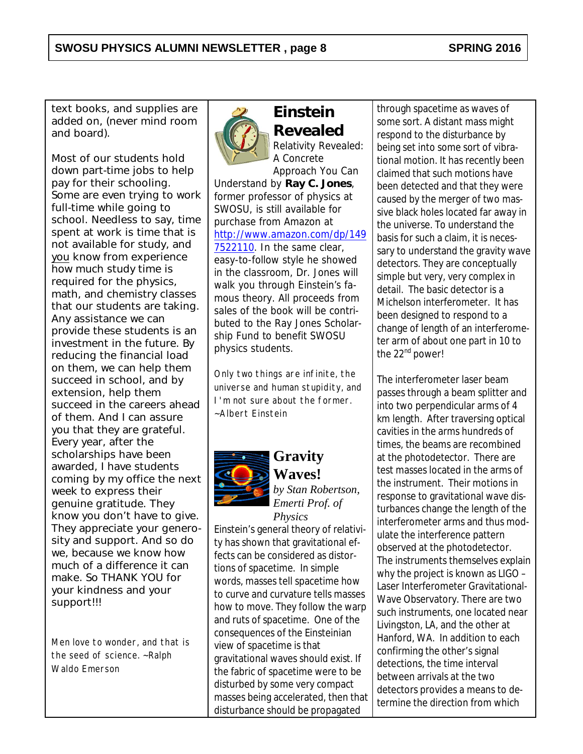text books, and supplies are added on, (never mind room and board).

Most of our students hold down part-time jobs to help pay for their schooling. Some are even trying to work full-time while going to school. Needless to say, time spent at work is time that is not available for study, and you know from experience how much study time is required for the physics, math, and chemistry classes that our students are taking. Any assistance we can provide these students is an investment in the future. By reducing the financial load on them, we can help them succeed in school, and by extension, help them succeed in the careers ahead of them. And I can assure you that they are grateful. Every year, after the scholarships have been awarded, I have students coming by my office the next week to express their genuine gratitude. They know you don't have to give. They appreciate your generosity and support. And so do we, because we know how much of a difference it can make. So THANK YOU for your kindness and your support!!!

Men love to wonder, and that is the seed of science. ~Ralph Waldo Emerson



**Einstein Revealed** *Relativity Revealed: A Concrete Approach You Can*

*Understand* by **Ray C. Jones**, former professor of physics at SWOSU, is still available for purchase from Amazon at [http://www.amazon.com/dp/149](http://www.amazon.com/dp/1497522110) [7522110](http://www.amazon.com/dp/1497522110). In the same clear, easy-to-follow style he showed in the classroom, Dr. Jones will walk you through Einstein's famous theory. All proceeds from sales of the book will be contributed to the Ray Jones Scholarship Fund to benefit SWOSU physics students.

Only two things are infinite, the universe and human stupidity, and I'm not sure about the former. ~Albert Einstein



## **Gravity Waves!** *by Stan Robertson,*

*Emerti Prof. of Physics*

Einstein's general theory of relativity has shown that gravitational effects can be considered as distortions of spacetime. In simple words, masses tell spacetime how to curve and curvature tells masses how to move. They follow the warp and ruts of spacetime. One of the consequences of the Einsteinian view of spacetime is that gravitational waves should exist. If the fabric of spacetime were to be disturbed by some very compact masses being accelerated, then that disturbance should be propagated

through spacetime as waves of some sort. A distant mass might respond to the disturbance by being set into some sort of vibrational motion. It has recently been claimed that such motions have been detected and that they were caused by the merger of two massive black holes located far away in the universe. To understand the basis for such a claim, it is necessary to understand the gravity wave detectors. They are conceptually simple but very, very complex in detail. The basic detector is a Michelson interferometer. It has been designed to respond to a change of length of an interferometer arm of about one part in 10 to the 22<sup>nd</sup> power!

The interferometer laser beam passes through a beam splitter and into two perpendicular arms of 4 km length. After traversing optical cavities in the arms hundreds of times, the beams are recombined at the photodetector. There are test masses located in the arms of the instrument. Their motions in response to gravitational wave disturbances change the length of the interferometer arms and thus modulate the interference pattern observed at the photodetector. The instruments themselves explain why the project is known as LIGO – Laser Interferometer Gravitational-Wave Observatory. There are two such instruments, one located near Livingston, LA, and the other at Hanford, WA. In addition to each confirming the other's signal detections, the time interval between arrivals at the two detectors provides a means to determine the direction from which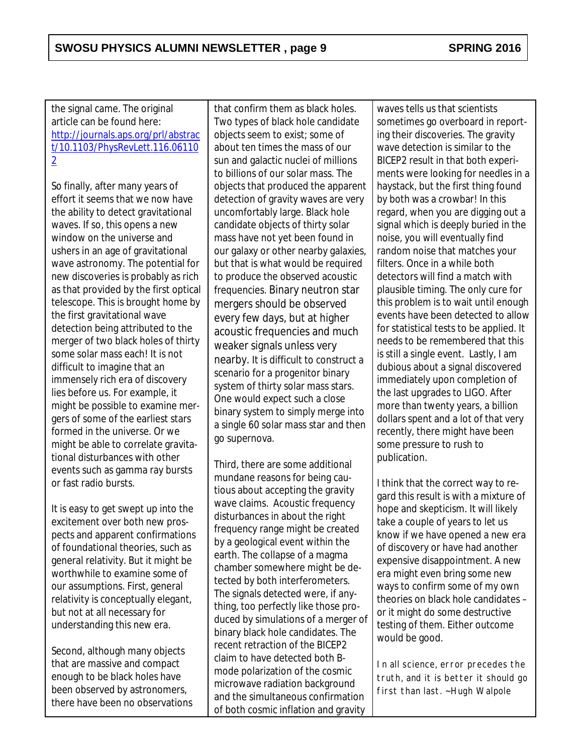the signal came. The original article can be found here: [http://journals.aps.org/prl/abstrac](http://journals.aps.org/prl/abstract/10.1103/PhysRevLett.116.061102) [t/10.1103/PhysRevLett.116.06110](http://journals.aps.org/prl/abstract/10.1103/PhysRevLett.116.061102) [2](http://journals.aps.org/prl/abstract/10.1103/PhysRevLett.116.061102)

So finally, after many years of effort it seems that we now have the ability to detect gravitational waves. If so, this opens a new window on the universe and ushers in an age of gravitational wave astronomy. The potential for new discoveries is probably as rich as that provided by the first optical telescope. This is brought home by the first gravitational wave detection being attributed to the merger of two black holes of thirty some solar mass each! It is not difficult to imagine that an immensely rich era of discovery lies before us. For example, it might be possible to examine mergers of some of the earliest stars formed in the universe. Or we might be able to correlate gravitational disturbances with other events such as gamma ray bursts or fast radio bursts.

It is easy to get swept up into the excitement over both new prospects and apparent confirmations of foundational theories, such as general relativity. But it might be worthwhile to examine some of our assumptions. First, general relativity is conceptually elegant, but not at all necessary for understanding this new era.

Second, although many objects that are massive and compact enough to be black holes have been observed by astronomers, there have been no observations

that confirm them as black holes. Two types of black hole candidate objects seem to exist; some of about ten times the mass of our sun and galactic nuclei of millions to billions of our solar mass. The objects that produced the apparent detection of gravity waves are very uncomfortably large. Black hole candidate objects of thirty solar mass have not yet been found in our galaxy or other nearby galaxies, but that is what would be required to produce the observed acoustic frequencies. Binary neutron star mergers should be observed every few days, but at higher acoustic frequencies and much weaker signals unless very nearby. It is difficult to construct a scenario for a progenitor binary system of thirty solar mass stars. One would expect such a close binary system to simply merge into a single 60 solar mass star and then go supernova.

Third, there are some additional mundane reasons for being cautious about accepting the gravity wave claims. Acoustic frequency disturbances in about the right frequency range might be created by a geological event within the earth. The collapse of a magma chamber somewhere might be detected by both interferometers. The signals detected were, if anything, too perfectly like those produced by simulations of a merger of binary black hole candidates. The recent retraction of the BICEP2 claim to have detected both Bmode polarization of the cosmic microwave radiation background and the simultaneous confirmation of both cosmic inflation and gravity

waves tells us that scientists sometimes go overboard in reporting their discoveries. The gravity wave detection is similar to the BICEP2 result in that both experiments were looking for needles in a haystack, but the first thing found by both was a crowbar! In this regard, when you are digging out a signal which is deeply buried in the noise, you will eventually find random noise that matches your filters. Once in a while both detectors will find a match with plausible timing. The only cure for this problem is to wait until enough events have been detected to allow for statistical tests to be applied. It needs to be remembered that this is still a single event. Lastly, I am dubious about a signal discovered immediately upon completion of the last upgrades to LIGO. After more than twenty years, a billion dollars spent and a lot of that very recently, there might have been some pressure to rush to publication.

I think that the correct way to regard this result is with a mixture of hope and skepticism. It will likely take a couple of years to let us know if we have opened a new era of discovery or have had another expensive disappointment. A new era might even bring some new ways to confirm some of my own theories on black hole candidates – or it might do some destructive testing of them. Either outcome would be good.

In all science, error precedes the truth, and it is better it should go first than last. ~Hugh Walpole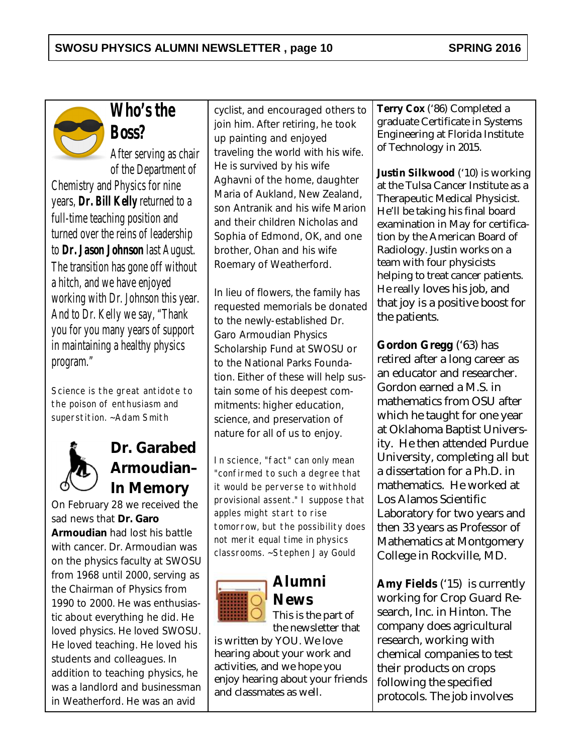

**Who's the Boss?**

After serving as chair of the Department of

Chemistry and Physics for nine years, **Dr. Bill Kelly** returned to a full-time teaching position and turned over the reins of leadership to **Dr. Jason Johnson** last August. The transition has gone off without a hitch, and we have enjoyed working with Dr. Johnson this year. And to Dr. Kelly we say, "Thank you for you many years of support in maintaining a healthy physics program."

Science is the great antidote to the poison of enthusiasm and superstition. ~Adam Smith



# **Dr. Garabed Armoudian– In Memory**

On February 28 we received the sad news that **Dr. Garo Armoudian** had lost his battle with cancer. Dr. Armoudian was on the physics faculty at SWOSU from 1968 until 2000, serving as the Chairman of Physics from 1990 to 2000. He was enthusiastic about everything he did. He loved physics. He loved SWOSU. He loved teaching. He loved his students and colleagues. In addition to teaching physics, he was a landlord and businessman in Weatherford. He was an avid

cyclist, and encouraged others to join him. After retiring, he took up painting and enjoyed traveling the world with his wife. He is survived by his wife Aghavni of the home, daughter Maria of Aukland, New Zealand, son Antranik and his wife Marion and their children Nicholas and Sophia of Edmond, OK, and one brother, Ohan and his wife Roemary of Weatherford.

In lieu of flowers, the family has requested memorials be donated to the newly-established Dr. Garo Armoudian Physics Scholarship Fund at SWOSU or to the National Parks Foundation. Either of these will help sustain some of his deepest commitments: higher education, science, and preservation of nature for all of us to enjoy.

In science, "fact" can only mean "confirmed to such a degree that it would be perverse to withhold provisional assent." I suppose that apples might start to rise tomorrow, but the possibility does not merit equal time in physics classrooms. ~Stephen Jay Gould



# **Alumni News**

This is the part of the newsletter that

is written by YOU. We love hearing about your work and activities, and we hope you enjoy hearing about your friends and classmates as well.

**Terry Cox** ('86) Completed a graduate Certificate in Systems Engineering at Florida Institute of Technology in 2015.

**Justin Silkwood** ('10) is working at the Tulsa Cancer Institute as a Therapeutic Medical Physicist. He'll be taking his final board examination in May for certification by the American Board of Radiology. Justin works on a team with four physicists helping to treat cancer patients. He really loves his job, and that joy is a positive boost for the patients.

**Gordon Gregg** ('63) has retired after a long career as an educator and researcher. Gordon earned a M.S. in mathematics from OSU after which he taught for one year at Oklahoma Baptist University. He then attended Purdue University, completing all but a dissertation for a Ph.D. in mathematics. He worked at Los Alamos Scientific Laboratory for two years and then 33 years as Professor of Mathematics at Montgomery College in Rockville, MD.

**Amy Fields** ('15) is currently working for Crop Guard Research, Inc. in Hinton. The company does agricultural research, working with chemical companies to test their products on crops following the specified protocols. The job involves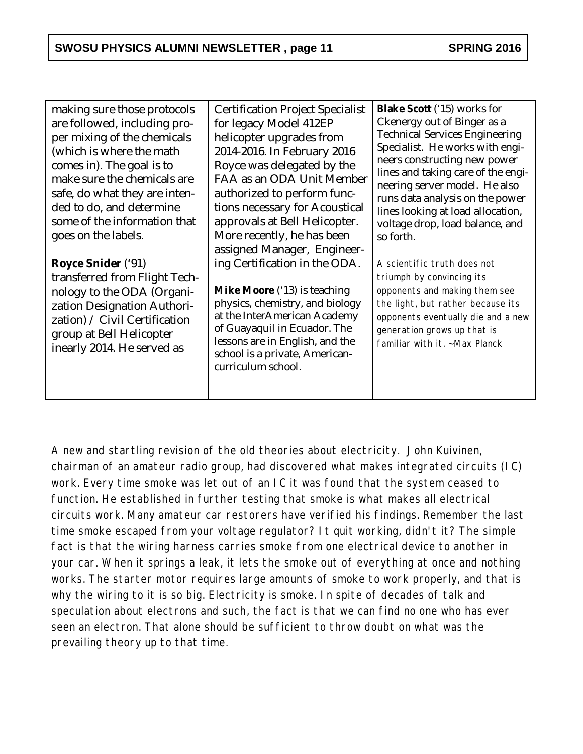| making sure those protocols<br>are followed, including pro-<br>per mixing of the chemicals<br>(which is where the math<br>comes in). The goal is to<br>make sure the chemicals are<br>safe, do what they are inten-<br>ded to do, and determine<br>some of the information that<br>goes on the labels.<br>Royce Snider ('91)<br>transferred from Flight Tech-<br>nology to the ODA (Organi-<br>zation Designation Authori-<br>zation) / Civil Certification | <b>Certification Project Specialist</b><br>for legacy Model 412EP<br>helicopter upgrades from<br>2014-2016. In February 2016<br>Royce was delegated by the<br>FAA as an ODA Unit Member<br>authorized to perform func-<br>tions necessary for Acoustical<br>approvals at Bell Helicopter.<br>More recently, he has been<br>assigned Manager, Engineer-<br>ing Certification in the ODA.<br>Mike Moore ('13) is teaching<br>physics, chemistry, and biology<br>at the InterAmerican Academy<br>of Guayaquil in Ecuador. The | Blake Scott ('15) works for<br>Ckenergy out of Binger as a<br><b>Technical Services Engineering</b><br>Specialist. He works with engi-<br>neers constructing new power<br>lines and taking care of the engi-<br>neering server model. He also<br>runs data analysis on the power<br>lines looking at load allocation,<br>voltage drop, load balance, and<br>so forth.<br>A scientific truth does not<br>triumph by convincing its<br>opponents and making them see<br>the light, but rather because its<br>opponents eventually die and a new<br>generation grows up that is |
|-------------------------------------------------------------------------------------------------------------------------------------------------------------------------------------------------------------------------------------------------------------------------------------------------------------------------------------------------------------------------------------------------------------------------------------------------------------|----------------------------------------------------------------------------------------------------------------------------------------------------------------------------------------------------------------------------------------------------------------------------------------------------------------------------------------------------------------------------------------------------------------------------------------------------------------------------------------------------------------------------|------------------------------------------------------------------------------------------------------------------------------------------------------------------------------------------------------------------------------------------------------------------------------------------------------------------------------------------------------------------------------------------------------------------------------------------------------------------------------------------------------------------------------------------------------------------------------|
| group at Bell Helicopter<br>inearly 2014. He served as                                                                                                                                                                                                                                                                                                                                                                                                      | lessons are in English, and the<br>school is a private, American-                                                                                                                                                                                                                                                                                                                                                                                                                                                          | familiar with it. ~Max Planck                                                                                                                                                                                                                                                                                                                                                                                                                                                                                                                                                |
|                                                                                                                                                                                                                                                                                                                                                                                                                                                             | curriculum school.                                                                                                                                                                                                                                                                                                                                                                                                                                                                                                         |                                                                                                                                                                                                                                                                                                                                                                                                                                                                                                                                                                              |

A new and startling revision of the old theories about electricity. John Kuivinen, chairman of an amateur radio group, had discovered what makes integrated circuits (IC) work. Every time smoke was let out of an IC it was found that the system ceased to function. He established in further testing that smoke is what makes all electrical circuits work. Many amateur car restorers have verified his findings. Remember the last time smoke escaped from your voltage regulator? It quit working, didn't it? The simple fact is that the wiring harness carries smoke from one electrical device to another in your car. When it springs a leak, it lets the smoke out of everything at once and nothing works. The starter motor requires large amounts of smoke to work properly, and that is why the wiring to it is so big. Electricity is smoke. In spite of decades of talk and speculation about electrons and such, the fact is that we can find no one who has ever seen an electron. That alone should be sufficient to throw doubt on what was the prevailing theory up to that time.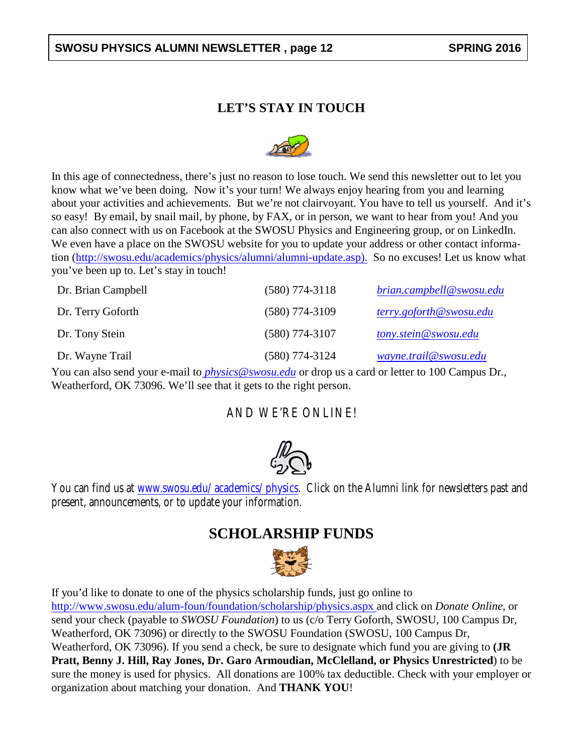#### SWOSU PHYSICS ALUMNI NEWSLETTER, page 12 **SPRING 2016**

#### **LET'S STAY IN TOUCH**



In this age of connectedness, there's just no reason to lose touch. We send this newsletter out to let you know what we've been doing. Now it's your turn! We always enjoy hearing from you and learning about your activities and achievements. But we're not clairvoyant. You have to tell us yourself. And it's so easy! By email, by snail mail, by phone, by FAX, or in person, we want to hear from you! And you can also connect with us on Facebook at the SWOSU Physics and Engineering group, or on LinkedIn. We even have a place on the SWOSU website for you to update your address or other contact information [\(http://swosu.edu/academics/physics/alumni/alumni-update.asp\).](http://swosu.edu/academics/physics/alumni/alumni-update.asp) So no excuses! Let us know what you've been up to. Let's stay in touch!

| Dr. Brian Campbell | $(580)$ 774-3118 | brian.campbell@swosu.edu |
|--------------------|------------------|--------------------------|
| Dr. Terry Goforth  | $(580)$ 774-3109 | terry.goforth@swosu.edu  |
| Dr. Tony Stein     | $(580)$ 774-3107 | tony.stein@swosu.edu     |
| Dr. Wayne Trail    | $(580)$ 774-3124 | wayne.trail@swosu.edu    |

You can also send your e-mail to *[physics@swosu.edu](mailto:%20physics@swosu.edu)* or drop us a card or letter to 100 Campus Dr., Weatherford, OK 73096. We'll see that it gets to the right person.

#### AND WE'RE ONLINE!



You can find us at *[www.swosu.edu/academics/physics](http://www.swosu.edu/academics/physics)*. Click on the Alumni link for newsletters past and present, announcements, or to update your information.

## **SCHOLARSHIP FUNDS**



If you'd like to donate to one of the physics scholarship funds, just go online to [http://www.swosu.edu/alum-foun/foundation/scholarship/physics.aspx](http://www.swosu.edu/alum-foun/foundation/scholarship/physics.aspx%20) and click on *Donate Online*, or send your check (payable to *SWOSU Foundation*) to us (c/o Terry Goforth, SWOSU, 100 Campus Dr, Weatherford, OK 73096) or directly to the SWOSU Foundation (SWOSU, 100 Campus Dr, Weatherford, OK 73096). If you send a check, be sure to designate which fund you are giving to **(JR Pratt, Benny J. Hill, Ray Jones, Dr. Garo Armoudian, McClelland, or Physics Unrestricted**) to be sure the money is used for physics. All donations are 100% tax deductible. Check with your employer or organization about matching your donation. And **THANK YOU**!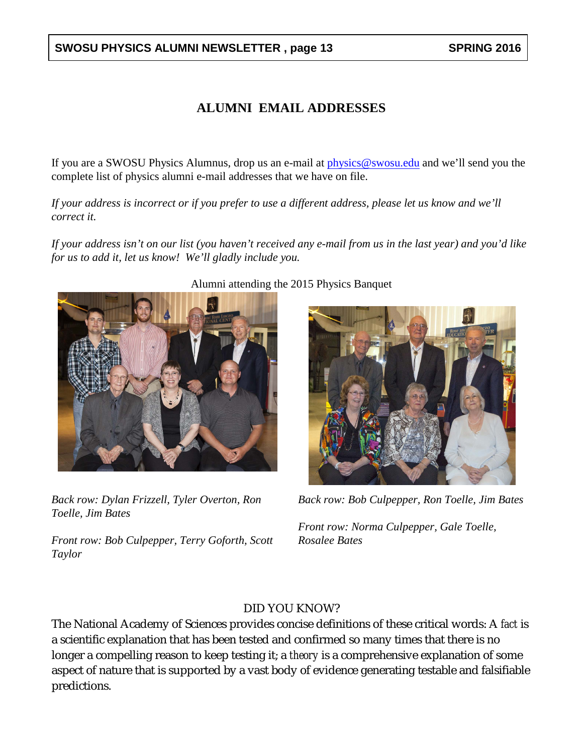#### **SWOSU PHYSICS ALUMNI NEWSLETTER , page 13 SPRING 2016**

#### **ALUMNI EMAIL ADDRESSES**

If you are a SWOSU Physics Alumnus, drop us an e-mail at [physics@swosu.edu](mailto:physics@swosu.edu) and we'll send you the complete list of physics alumni e-mail addresses that we have on file.

*If your address is incorrect or if you prefer to use a different address, please let us know and we'll correct it.*

*If your address isn't on our list (you haven't received any e-mail from us in the last year) and you'd like for us to add it, let us know! We'll gladly include you.*



*Back row: Dylan Frizzell, Tyler Overton, Ron Toelle, Jim Bates*

*Front row: Bob Culpepper, Terry Goforth, Scott Taylor*

#### Alumni attending the 2015 Physics Banquet



*Back row: Bob Culpepper, Ron Toelle, Jim Bates*

*Front row: Norma Culpepper, Gale Toelle, Rosalee Bates*

#### DID YOU KNOW?

The National Academy of Sciences provides concise definitions of these critical words: A *fact* is a scientific explanation that has been tested and confirmed so many times that there is no longer a compelling reason to keep testing it; a *theory* is a comprehensive explanation of some aspect of nature that is supported by a vast body of evidence generating testable and falsifiable predictions.